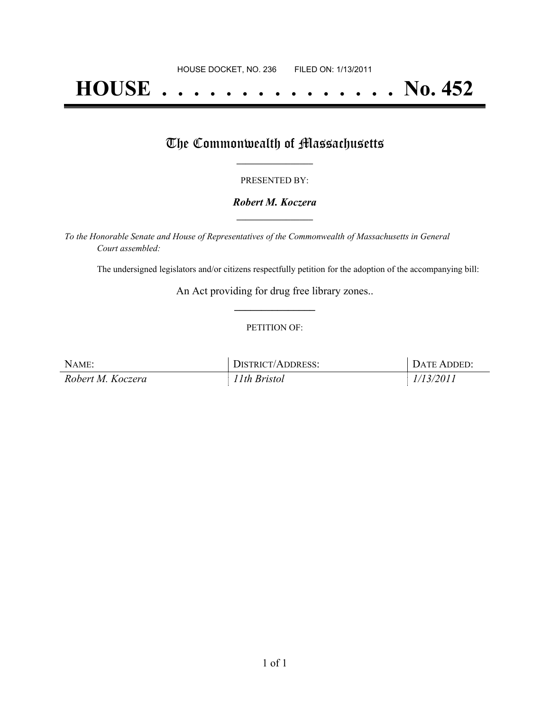# **HOUSE . . . . . . . . . . . . . . . No. 452**

## The Commonwealth of Massachusetts

#### PRESENTED BY:

#### *Robert M. Koczera* **\_\_\_\_\_\_\_\_\_\_\_\_\_\_\_\_\_**

*To the Honorable Senate and House of Representatives of the Commonwealth of Massachusetts in General Court assembled:*

The undersigned legislators and/or citizens respectfully petition for the adoption of the accompanying bill:

An Act providing for drug free library zones.. **\_\_\_\_\_\_\_\_\_\_\_\_\_\_\_**

#### PETITION OF:

| NAME:             | DISTRICT/ADDRESS: | <b>I DATE ADDED:</b> |
|-------------------|-------------------|----------------------|
| Robert M. Koczera | 11th Bristol      | 1/13/2011            |